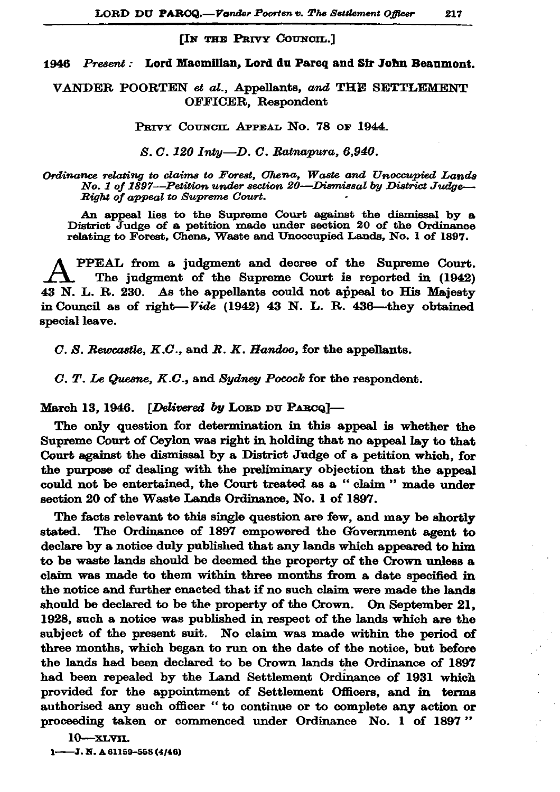## [IN THE PRIVY COUNCIL.]

## 1946 Present: Lord Macmillan, Lord du Pareq and Sir John Beaumont.

VANDER POORTEN et al., Appellants, and THE SETTLEMENT OFFICER, Respondent

PRIVY COUNCIL APPEAL NO. 78 OF 1944.

S. C. 120 Inty-D. C. Ratnapura, 6,940.

Ordinance relating to claims to Forest, Chena, Waste and Unoccupied Lands No. 1 of 1897—Petition under section 20—Dismissal by District Judge— Right of appeal to Supreme Court.

An appeal lies to the Supreme Court against the dismissal by a District Judge of a petition made under section 20 of the Ordinance relating to Forest, Chena, Waste and Unoccupied Lands, No. 1 of 1897.

PPEAL from a judgment and decree of the Supreme Court. The judgment of the Supreme Court is reported in (1942) 43 N. L. R. 230. As the appellants could not appeal to His Majesty in Council as of right- $Vide$  (1942) 43 N. L. R. 436-they obtained special leave.

 $C. S.$  Rewcastle,  $K.C.,$  and  $R. K.$  Handoo, for the appellants.

C. T. Le Quesne, K.C., and Sydney Pocock for the respondent.

March 13, 1946. [Delivered by LORD DU PARCQ]-

The only question for determination in this appeal is whether the Supreme Court of Ceylon was right in holding that no appeal lay to that Court against the dismissal by a District Judge of a petition which, for the purpose of dealing with the preliminary objection that the appeal could not be entertained, the Court treated as a "claim" made under section 20 of the Waste Lands Ordinance, No. 1 of 1897.

The facts relevant to this single question are few, and may be shortly stated. The Ordinance of 1897 empowered the Government agent to declare by a notice duly published that any lands which appeared to him to be waste lands should be deemed the property of the Crown unless a claim was made to them within three months from a date specified in the notice and further enacted that if no such claim were made the lands should be declared to be the property of the Crown. On September 21, 1928, such a notice was published in respect of the lands which are the subject of the present suit. No claim was made within the period of three months, which began to run on the date of the notice, but before the lands had been declared to be Crown lands the Ordinance of 1897 had been repealed by the Land Settlement Ordinance of 1931 which provided for the appointment of Settlement Officers, and in terms authorised any such officer "to continue or to complete any action or proceeding taken or commenced under Ordinance No. 1 of 1897"

 $10 - xLv$ 

 $1$ ----J. N. A 61159-558 (4/46)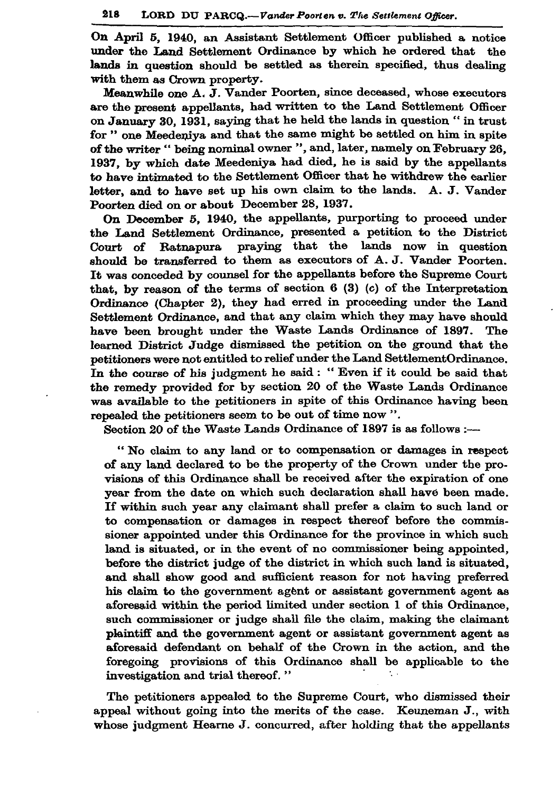On April 5, 1940, an Assistant Settlement Officer published a notice under the Land Settlement Ordinance by which he ordered that the lands in question should be settled as therein specified, thus dealing with them as Crown property.

Meanwhile one A. J. Vander Poorten, since deceased, whose executors are the present appellants, had written to the Land Settlement Officer on January 30, 1931, saying that he held the lands in question " in trust for " one Meedeniya and that the same might be settled on him in spite of the writer " being nominal owner ", and, later, namely on February 26. 1937, by which date Meedeniya had died, he is said by the appellants to have intimated to the Settlement Officer that he withdrew the earlier letter, and to have set up his own claim to the lands. A. J. Vander Poorten died on or about December 28, 1937.

On December 5, 1940, the appellants, purporting to proceed under the Land Settlement Ordinance, presented a petition to the District praying that the lands now in question Court of Ratnapura should be transferred to them as executors of A.J. Vander Poorten. It was conceded by counsel for the appellants before the Supreme Court that, by reason of the terms of section  $6(3)(c)$  of the Interpretation Ordinance (Chapter 2), they had erred in proceeding under the Land Settlement Ordinance, and that any claim which they may have should have been brought under the Waste Lands Ordinance of 1897. The learned District Judge dismissed the petition on the ground that the petitioners were not entitled to relief under the Land SettlementOrdinance. In the course of his judgment he said : "Even if it could be said that the remedy provided for by section 20 of the Waste Lands Ordinance was available to the petitioners in spite of this Ordinance having been repealed the petitioners seem to be out of time now ".

Section 20 of the Waste Lands Ordinance of 1897 is as follows :-

"No claim to any land or to compensation or damages in respect of any land declared to be the property of the Crown under the provisions of this Ordinance shall be received after the expiration of one year from the date on which such declaration shall have been made. If within such year any claimant shall prefer a claim to such land or to compensation or damages in respect thereof before the commissioner appointed under this Ordinance for the province in which such land is situated, or in the event of no commissioner being appointed, before the district judge of the district in which such land is situated, and shall show good and sufficient reason for not having preferred his claim to the government agent or assistant government agent as aforesaid within the period limited under section 1 of this Ordinance, such commissioner or judge shall file the claim, making the claimant plaintiff and the government agent or assistant government agent as aforesaid defendant on behalf of the Crown in the action, and the foregoing provisions of this Ordinance shall be applicable to the investigation and trial thereof."

The petitioners appealed to the Supreme Court, who dismissed their appeal without going into the merits of the case. Keuneman J., with whose judgment Hearne J. concurred, after holding that the appellants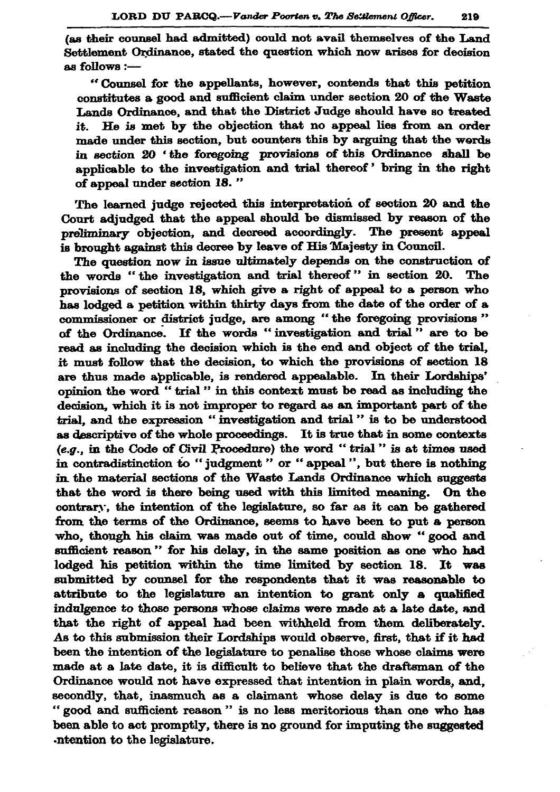(as their counsel had admitted) could not avail themselves of the Land Settlement Ordinance, stated the question which now arises for decision as follows :-

"Counsel for the appellants, however, contends that this petition constitutes a good and sufficient claim under section 20 of the Waste Lands Ordinance, and that the District Judge should have so treated He is met by the objection that no appeal lies from an order it. made under this section, but counters this by arguing that the words in section 20 'the foregoing provisions of this Ordinance shall be anplicable to the investigation and trial thereof' bring in the right of appeal under section 18."

The learned judge rejected this interpretation of section 20 and the Court adjudged that the appeal should be dismissed by reason of the preliminary objection, and decreed accordingly. The present appeal is brought against this decree by leave of His Majesty in Council.

The question now in issue ultimately depends on the construction of the words "the investigation and trial thereof" in section 20. The provisions of section 18, which give a right of appeal to a person who has lodged a petition within thirty days from the date of the order of a commissioner or district judge, are among "the foregoing provisions" of the Ordinance. If the words "investigation and trial" are to be read as including the decision which is the end and object of the trial. it must follow that the decision, to which the provisions of section 18 are thus made applicable, is rendered appealable. In their Lordships' opinion the word "trial" in this context must be read as including the decision, which it is not improper to regard as an important part of the trial, and the expression "investigation and trial" is to be understood as descriptive of the whole proceedings. It is true that in some contexts (e.g., in the Code of Civil Procedure) the word "trial" is at times used in contradistinction to "judgment" or "appeal", but there is nothing in the material sections of the Waste Lands Ordinance which suggests that the word is there being used with this limited meaning. On the contrary, the intention of the legislature, so far as it can be gathered from the terms of the Ordinance, seems to have been to put a person who, though his claim was made out of time, could show "good and sufficient reason" for his delay, in the same position as one who had lodged his petition within the time limited by section 18. It was submitted by counsel for the respondents that it was reasonable to attribute to the legislature an intention to grant only a qualified indulgence to those persons whose claims were made at a late date, and that the right of appeal had been withheld from them deliberately. As to this submission their Lordships would observe, first, that if it had been the intention of the legislature to penalise those whose claims were made at a late date, it is difficult to believe that the draftsman of the Ordinance would not have expressed that intention in plain words, and, secondly, that, inasmuch as a claimant whose delay is due to some " good and sufficient reason" is no less meritorious than one who has been able to act promptly, there is no ground for imputing the suggested -ntention to the legislature.